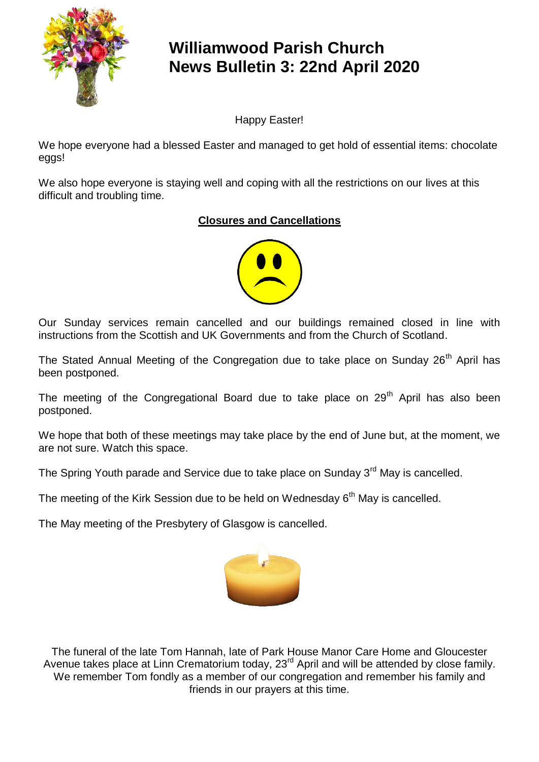

# **Williamwood Parish Church News Bulletin 3: 22nd April 2020**

Happy Easter!

We hope everyone had a blessed Easter and managed to get hold of essential items: chocolate eggs!

We also hope everyone is staying well and coping with all the restrictions on our lives at this difficult and troubling time.

# **Closures and Cancellations**



Our Sunday services remain cancelled and our buildings remained closed in line with instructions from the Scottish and UK Governments and from the Church of Scotland.

The Stated Annual Meeting of the Congregation due to take place on Sunday 26<sup>th</sup> April has been postponed.

The meeting of the Congregational Board due to take place on  $29<sup>th</sup>$  April has also been postponed.

We hope that both of these meetings may take place by the end of June but, at the moment, we are not sure. Watch this space.

The Spring Youth parade and Service due to take place on Sunday 3<sup>rd</sup> May is cancelled.

The meeting of the Kirk Session due to be held on Wednesday  $6<sup>th</sup>$  May is cancelled.

The May meeting of the Presbytery of Glasgow is cancelled.



The funeral of the late Tom Hannah, late of Park House Manor Care Home and Gloucester Avenue takes place at Linn Crematorium today, 23<sup>rd</sup> April and will be attended by close family. We remember Tom fondly as a member of our congregation and remember his family and friends in our prayers at this time.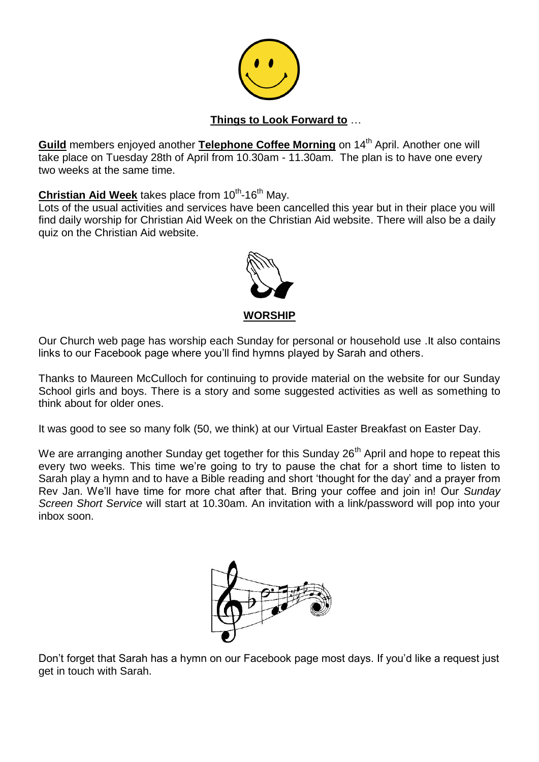

#### **Things to Look Forward to** …

**Guild** members enjoyed another **Telephone Coffee Morning** on 14<sup>th</sup> April. Another one will take place on Tuesday 28th of April from 10.30am - 11.30am. The plan is to have one every two weeks at the same time.

#### Christian Aid Week takes place from 10<sup>th</sup>-16<sup>th</sup> May.

Lots of the usual activities and services have been cancelled this year but in their place you will find daily worship for Christian Aid Week on the Christian Aid website. There will also be a daily quiz on the Christian Aid website.



Our Church web page has worship each Sunday for personal or household use .It also contains links to our Facebook page where you'll find hymns played by Sarah and others.

Thanks to Maureen McCulloch for continuing to provide material on the website for our Sunday School girls and boys. There is a story and some suggested activities as well as something to think about for older ones.

It was good to see so many folk (50, we think) at our Virtual Easter Breakfast on Easter Day.

We are arranging another Sunday get together for this Sunday 26<sup>th</sup> April and hope to repeat this every two weeks. This time we're going to try to pause the chat for a short time to listen to Sarah play a hymn and to have a Bible reading and short 'thought for the day' and a prayer from Rev Jan. We'll have time for more chat after that. Bring your coffee and join in! Our *Sunday Screen Short Service* will start at 10.30am. An invitation with a link/password will pop into your inbox soon.



Don't forget that Sarah has a hymn on our Facebook page most days. If you'd like a request just get in touch with Sarah.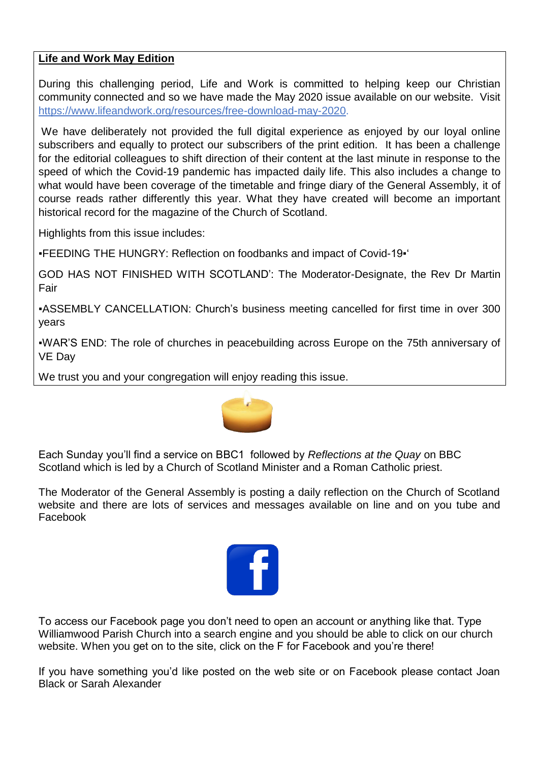## **Life and Work May Edition**

During this challenging period, Life and Work is committed to helping keep our Christian community connected and so we have made the May 2020 issue available on our website. Visit [https://www.lifeandwork.org/resources/free-download-may-2020.](https://www.lifeandwork.org/resources/free-download-may-2020)

We have deliberately not provided the full digital experience as enjoyed by our loyal online subscribers and equally to protect our subscribers of the print edition. It has been a challenge for the editorial colleagues to shift direction of their content at the last minute in response to the speed of which the Covid-19 pandemic has impacted daily life. This also includes a change to what would have been coverage of the timetable and fringe diary of the General Assembly, it of course reads rather differently this year. What they have created will become an important historical record for the magazine of the Church of Scotland.

Highlights from this issue includes:

▪FEEDING THE HUNGRY: Reflection on foodbanks and impact of Covid-19▪'

GOD HAS NOT FINISHED WITH SCOTLAND': The Moderator-Designate, the Rev Dr Martin Fair

▪ASSEMBLY CANCELLATION: Church's business meeting cancelled for first time in over 300 years

▪WAR'S END: The role of churches in peacebuilding across Europe on the 75th anniversary of VE Day

We trust you and your congregation will enjoy reading this issue.



Each Sunday you'll find a service on BBC1 followed by *Reflections at the Quay* on BBC Scotland which is led by a Church of Scotland Minister and a Roman Catholic priest.

The Moderator of the General Assembly is posting a daily reflection on the Church of Scotland website and there are lots of services and messages available on line and on you tube and Facebook



To access our Facebook page you don't need to open an account or anything like that. Type Williamwood Parish Church into a search engine and you should be able to click on our church website. When you get on to the site, click on the F for Facebook and you're there!

If you have something you'd like posted on the web site or on Facebook please contact Joan Black or Sarah Alexander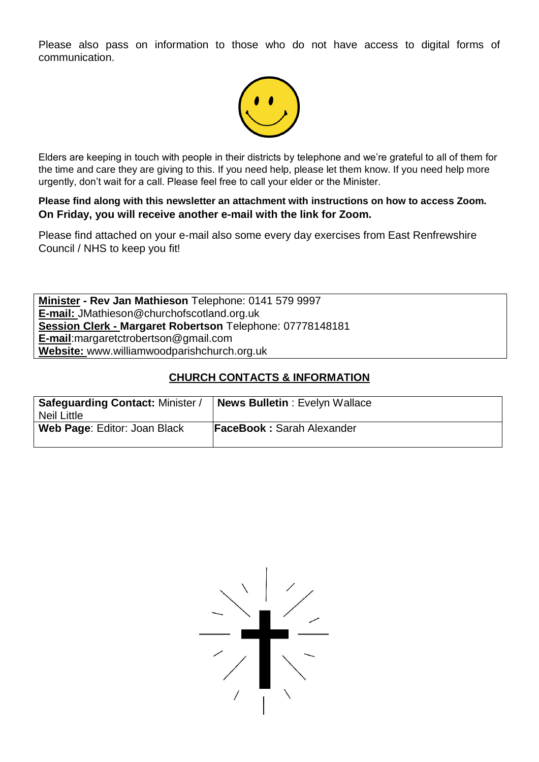Please also pass on information to those who do not have access to digital forms of communication.



Elders are keeping in touch with people in their districts by telephone and we're grateful to all of them for the time and care they are giving to this. If you need help, please let them know. If you need help more urgently, don't wait for a call. Please feel free to call your elder or the Minister.

**Please find along with this newsletter an attachment with instructions on how to access Zoom. On Friday, you will receive another e-mail with the link for Zoom.**

Please find attached on your e-mail also some every day exercises from East Renfrewshire Council / NHS to keep you fit!

**Minister - Rev Jan Mathieson** Telephone: 0141 579 9997 **E-mail:** JMathieson@churchofscotland.org.uk **Session Clerk - Margaret Robertson** Telephone: 07778148181 **E-mail**:margaretctrobertson@gmail.com **Website:** www.williamwoodparishchurch.org.uk

### **CHURCH CONTACTS & INFORMATION**

| Safeguarding Contact: Minister<br><b>Neil Little</b> | <b>News Bulletin: Evelyn Wallace</b> |
|------------------------------------------------------|--------------------------------------|
| Web Page: Editor: Joan Black                         | <b>FaceBook: Sarah Alexander</b>     |